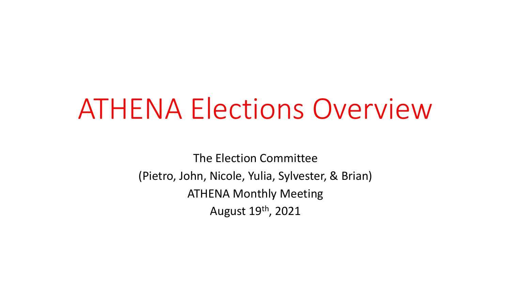# ATHENA Elections Overview

The Election Committee (Pietro, John, Nicole, Yulia, Sylvester, & Brian) ATHENA Monthly Meeting August 19th, 2021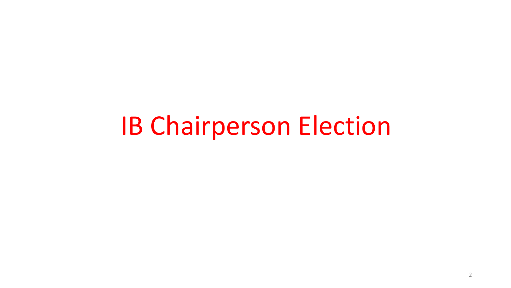# IB Chairperson Election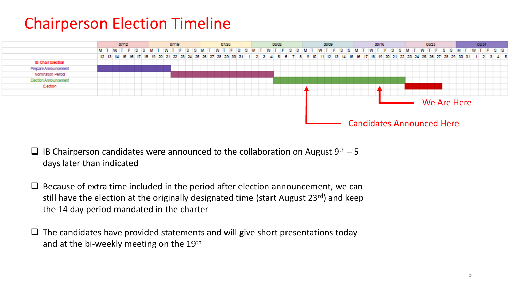## Chairperson Election Timeline



- □ IB Chairperson candidates were announced to the collaboration on August  $9<sup>th</sup>$  5 days later than indicated
- □ Because of extra time included in the period after election announcement, we can still have the election at the originally designated time (start August 23rd) and keep the 14 day period mandated in the charter
- $\Box$  The candidates have provided statements and will give short presentations today and at the bi-weekly meeting on the 19th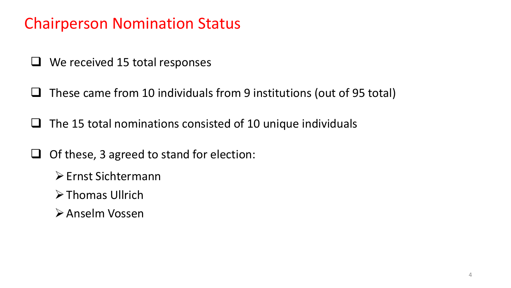## Chairperson Nomination Status

- ❑ We received 15 total responses
- ❑ These came from 10 individuals from 9 institutions (out of 95 total)
- $\Box$  The 15 total nominations consisted of 10 unique individuals
- ❑ Of these, 3 agreed to stand for election:
	- ➢Ernst Sichtermann
	- ➢Thomas Ullrich
	- ➢Anselm Vossen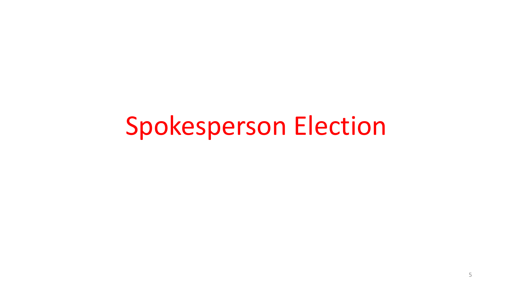# Spokesperson Election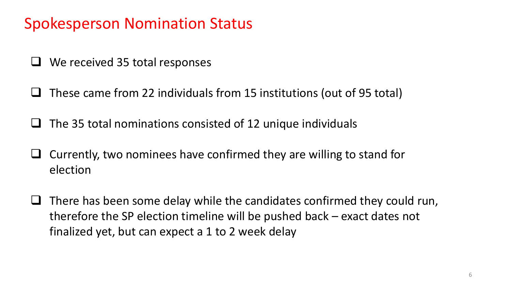## Spokesperson Nomination Status

- We received 35 total responses
- ❑ These came from 22 individuals from 15 institutions (out of 95 total)
- ❑ The 35 total nominations consisted of 12 unique individuals
- ❑ Currently, two nominees have confirmed they are willing to stand for election
- $\Box$  There has been some delay while the candidates confirmed they could run, therefore the SP election timeline will be pushed back – exact dates not finalized yet, but can expect a 1 to 2 week delay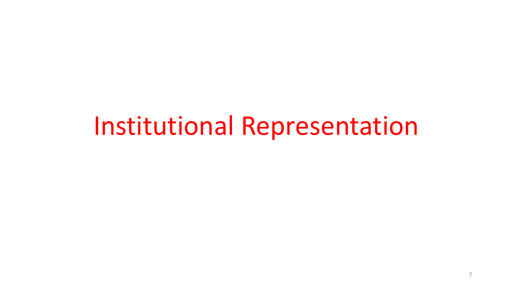# Institutional Representation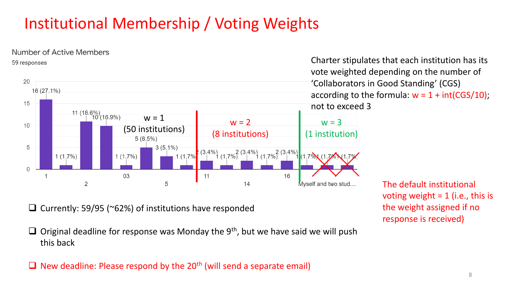# Institutional Membership / Voting Weights



❑ Currently: 59/95 (~62%) of institutions have responded

 $\Box$  Original deadline for response was Monday the 9<sup>th</sup>, but we have said we will push this back

 $\Box$  New deadline: Please respond by the 20<sup>th</sup> (will send a separate email)

The default institutional voting weight  $= 1$  (i.e., this is the weight assigned if no response is received)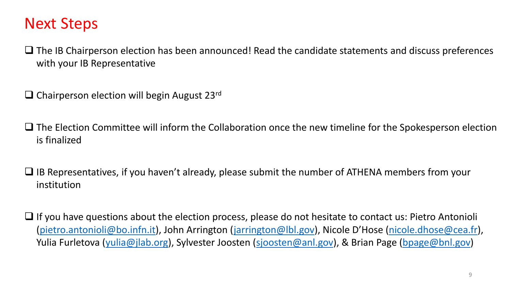### Next Steps

❑ The IB Chairperson election has been announced! Read the candidate statements and discuss preferences with your IB Representative

❑ Chairperson election will begin August 23rd

❑ The Election Committee will inform the Collaboration once the new timeline for the Spokesperson election is finalized

❑ IB Representatives, if you haven't already, please submit the number of ATHENA members from your institution

❑ If you have questions about the election process, please do not hesitate to contact us: Pietro Antonioli ([pietro.antonioli@bo.infn.it](mailto:pietro.antonioli@bo.infn.it)), John Arrington [\(jarrington@lbl.gov\)](mailto:jarrington@lbl.gov), Nicole D'Hose [\(nicole.dhose@cea.fr](mailto:nicole.dhose@cea.fr)), Yulia Furletova [\(yulia@jlab.org\)](mailto:yulia@jlab.org), Sylvester Joosten [\(sjoosten@anl.gov](mailto:sjoosten@anl.gov)), & Brian Page [\(bpage@bnl.gov\)](mailto:bpage@bnl.gov)